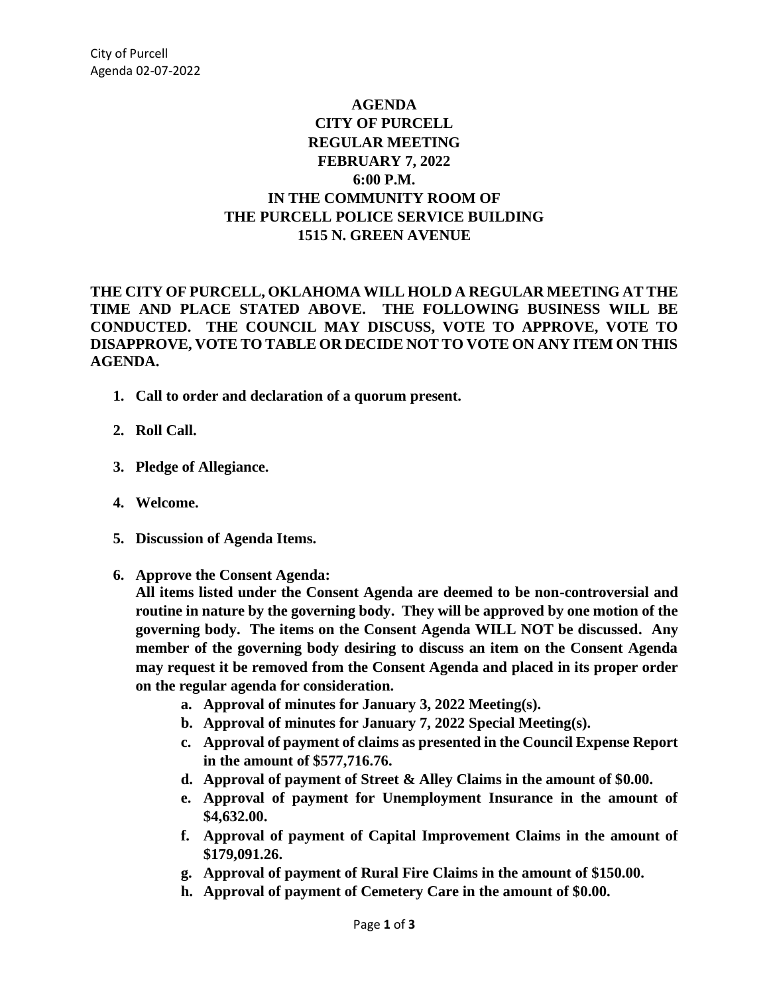## **AGENDA CITY OF PURCELL REGULAR MEETING FEBRUARY 7, 2022 6:00 P.M. IN THE COMMUNITY ROOM OF THE PURCELL POLICE SERVICE BUILDING 1515 N. GREEN AVENUE**

## **THE CITY OF PURCELL, OKLAHOMA WILL HOLD A REGULAR MEETING AT THE TIME AND PLACE STATED ABOVE. THE FOLLOWING BUSINESS WILL BE CONDUCTED. THE COUNCIL MAY DISCUSS, VOTE TO APPROVE, VOTE TO DISAPPROVE, VOTE TO TABLE OR DECIDE NOT TO VOTE ON ANY ITEM ON THIS AGENDA.**

- **1. Call to order and declaration of a quorum present.**
- **2. Roll Call.**
- **3. Pledge of Allegiance.**
- **4. Welcome.**
- **5. Discussion of Agenda Items.**
- **6. Approve the Consent Agenda:**

**All items listed under the Consent Agenda are deemed to be non-controversial and routine in nature by the governing body. They will be approved by one motion of the governing body. The items on the Consent Agenda WILL NOT be discussed. Any member of the governing body desiring to discuss an item on the Consent Agenda may request it be removed from the Consent Agenda and placed in its proper order on the regular agenda for consideration.**

- **a. Approval of minutes for January 3, 2022 Meeting(s).**
- **b. Approval of minutes for January 7, 2022 Special Meeting(s).**
- **c. Approval of payment of claims as presented in the Council Expense Report in the amount of \$577,716.76.**
- **d. Approval of payment of Street & Alley Claims in the amount of \$0.00.**
- **e. Approval of payment for Unemployment Insurance in the amount of \$4,632.00.**
- **f. Approval of payment of Capital Improvement Claims in the amount of \$179,091.26.**
- **g. Approval of payment of Rural Fire Claims in the amount of \$150.00.**
- **h. Approval of payment of Cemetery Care in the amount of \$0.00.**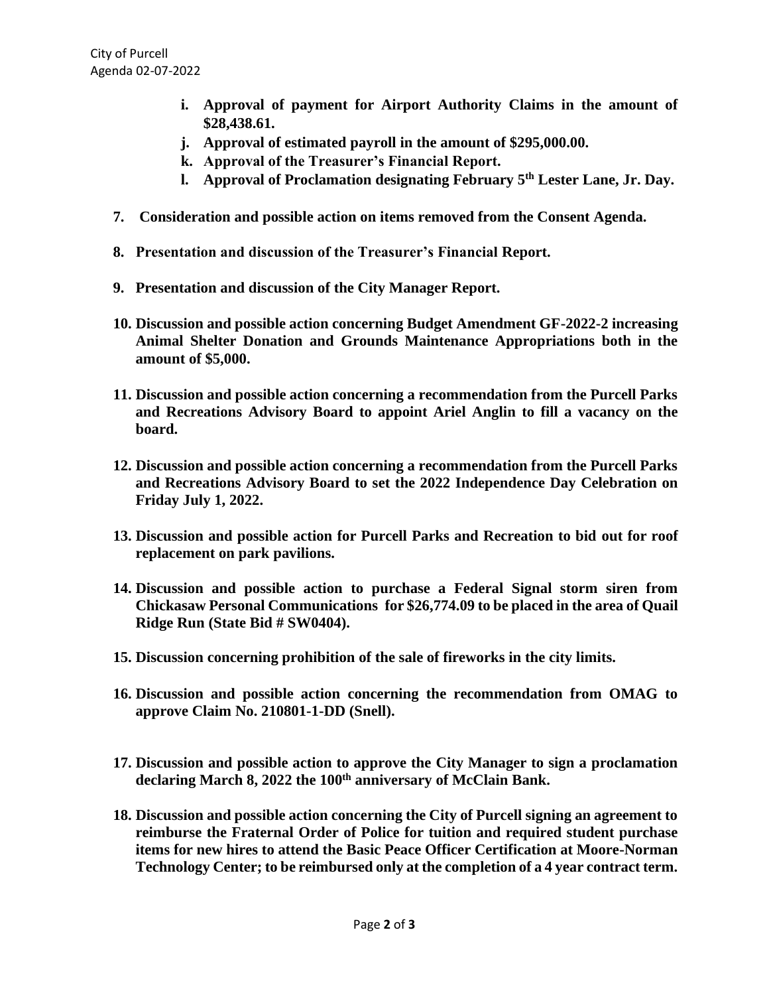- **i. Approval of payment for Airport Authority Claims in the amount of \$28,438.61.**
- **j. Approval of estimated payroll in the amount of \$295,000.00.**
- **k. Approval of the Treasurer's Financial Report.**
- **l. Approval of Proclamation designating February 5th Lester Lane, Jr. Day.**
- **7. Consideration and possible action on items removed from the Consent Agenda.**
- **8. Presentation and discussion of the Treasurer's Financial Report.**
- **9. Presentation and discussion of the City Manager Report.**
- **10. Discussion and possible action concerning Budget Amendment GF-2022-2 increasing Animal Shelter Donation and Grounds Maintenance Appropriations both in the amount of \$5,000.**
- **11. Discussion and possible action concerning a recommendation from the Purcell Parks and Recreations Advisory Board to appoint Ariel Anglin to fill a vacancy on the board.**
- **12. Discussion and possible action concerning a recommendation from the Purcell Parks and Recreations Advisory Board to set the 2022 Independence Day Celebration on Friday July 1, 2022.**
- **13. Discussion and possible action for Purcell Parks and Recreation to bid out for roof replacement on park pavilions.**
- **14. Discussion and possible action to purchase a Federal Signal storm siren from Chickasaw Personal Communications for \$26,774.09 to be placed in the area of Quail Ridge Run (State Bid # SW0404).**
- **15. Discussion concerning prohibition of the sale of fireworks in the city limits.**
- **16. Discussion and possible action concerning the recommendation from OMAG to approve Claim No. 210801-1-DD (Snell).**
- **17. Discussion and possible action to approve the City Manager to sign a proclamation declaring March 8, 2022 the 100th anniversary of McClain Bank.**
- **18. Discussion and possible action concerning the City of Purcell signing an agreement to reimburse the Fraternal Order of Police for tuition and required student purchase items for new hires to attend the Basic Peace Officer Certification at Moore-Norman Technology Center; to be reimbursed only at the completion of a 4 year contract term.**